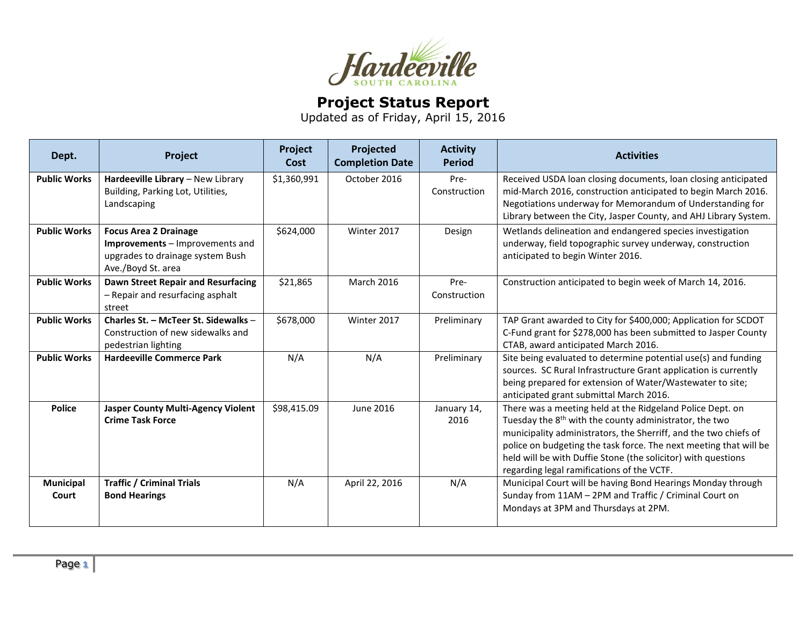

## **Project Status Report**

Updated as of Friday, April 15, 2016

| Dept.               | Project                                                                                                                   | Project<br>Cost | Projected<br><b>Completion Date</b> | <b>Activity</b><br><b>Period</b> | <b>Activities</b>                                                                                                                                                                                                                                                                                                                                                                       |
|---------------------|---------------------------------------------------------------------------------------------------------------------------|-----------------|-------------------------------------|----------------------------------|-----------------------------------------------------------------------------------------------------------------------------------------------------------------------------------------------------------------------------------------------------------------------------------------------------------------------------------------------------------------------------------------|
| <b>Public Works</b> | Hardeeville Library - New Library<br>Building, Parking Lot, Utilities,<br>Landscaping                                     | \$1,360,991     | October 2016                        | Pre-<br>Construction             | Received USDA loan closing documents, loan closing anticipated<br>mid-March 2016, construction anticipated to begin March 2016.<br>Negotiations underway for Memorandum of Understanding for<br>Library between the City, Jasper County, and AHJ Library System.                                                                                                                        |
| <b>Public Works</b> | <b>Focus Area 2 Drainage</b><br>Improvements - Improvements and<br>upgrades to drainage system Bush<br>Ave./Boyd St. area | \$624,000       | Winter 2017                         | Design                           | Wetlands delineation and endangered species investigation<br>underway, field topographic survey underway, construction<br>anticipated to begin Winter 2016.                                                                                                                                                                                                                             |
| <b>Public Works</b> | Dawn Street Repair and Resurfacing<br>- Repair and resurfacing asphalt<br>street                                          | \$21,865        | March 2016                          | Pre-<br>Construction             | Construction anticipated to begin week of March 14, 2016.                                                                                                                                                                                                                                                                                                                               |
| <b>Public Works</b> | Charles St. - McTeer St. Sidewalks -<br>Construction of new sidewalks and<br>pedestrian lighting                          | \$678,000       | Winter 2017                         | Preliminary                      | TAP Grant awarded to City for \$400,000; Application for SCDOT<br>C-Fund grant for \$278,000 has been submitted to Jasper County<br>CTAB, award anticipated March 2016.                                                                                                                                                                                                                 |
| <b>Public Works</b> | <b>Hardeeville Commerce Park</b>                                                                                          | N/A             | N/A                                 | Preliminary                      | Site being evaluated to determine potential use(s) and funding<br>sources. SC Rural Infrastructure Grant application is currently<br>being prepared for extension of Water/Wastewater to site;<br>anticipated grant submittal March 2016.                                                                                                                                               |
| <b>Police</b>       | <b>Jasper County Multi-Agency Violent</b><br><b>Crime Task Force</b>                                                      | \$98,415.09     | June 2016                           | January 14,<br>2016              | There was a meeting held at the Ridgeland Police Dept. on<br>Tuesday the 8 <sup>th</sup> with the county administrator, the two<br>municipality administrators, the Sherriff, and the two chiefs of<br>police on budgeting the task force. The next meeting that will be<br>held will be with Duffie Stone (the solicitor) with questions<br>regarding legal ramifications of the VCTF. |
| Municipal<br>Court  | <b>Traffic / Criminal Trials</b><br><b>Bond Hearings</b>                                                                  | N/A             | April 22, 2016                      | N/A                              | Municipal Court will be having Bond Hearings Monday through<br>Sunday from 11AM - 2PM and Traffic / Criminal Court on<br>Mondays at 3PM and Thursdays at 2PM.                                                                                                                                                                                                                           |